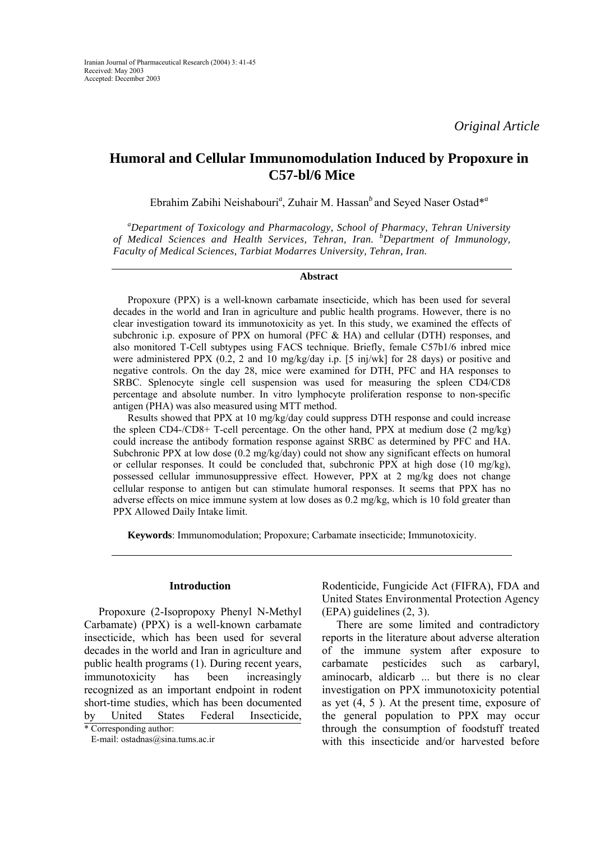# **Humoral and Cellular Immunomodulation Induced by Propoxure in C57-bl/6 Mice**

Ebrahim Zabihi Neishabouri*<sup>a</sup>* , Zuhair M. Hassan*<sup>b</sup>*and Seyed Naser Ostad\**<sup>a</sup>*

*a Department of Toxicology and Pharmacology, School of Pharmacy, Tehran University of Medical Sciences and Health Services, Tehran, Iran. <sup>b</sup> Department of Immunology, Faculty of Medical Sciences, Tarbiat Modarres University, Tehran, Iran.* 

### **Abstract**

Propoxure (PPX) is a well-known carbamate insecticide, which has been used for several decades in the world and Iran in agriculture and public health programs. However, there is no clear investigation toward its immunotoxicity as yet. In this study, we examined the effects of subchronic i.p. exposure of PPX on humoral (PFC & HA) and cellular (DTH) responses, and also monitored T-Cell subtypes using FACS technique. Briefly, female C57b1/6 inbred mice were administered PPX (0.2, 2 and 10 mg/kg/day i.p. [5 inj/wk] for 28 days) or positive and negative controls. On the day 28, mice were examined for DTH, PFC and HA responses to SRBC. Splenocyte single cell suspension was used for measuring the spleen CD4/CD8 percentage and absolute number. In vitro lymphocyte proliferation response to non-specific antigen (PHA) was also measured using MTT method.

Results showed that PPX at 10 mg/kg/day could suppress DTH response and could increase the spleen CD4-/CD8+ T-cell percentage. On the other hand, PPX at medium dose (2 mg/kg) could increase the antibody formation response against SRBC as determined by PFC and HA. Subchronic PPX at low dose (0.2 mg/kg/day) could not show any significant effects on humoral or cellular responses. It could be concluded that, subchronic PPX at high dose  $(10 \text{ mg/kg})$ , possessed cellular immunosuppressive effect. However, PPX at 2 mg/kg does not change cellular response to antigen but can stimulate humoral responses. It seems that PPX has no adverse effects on mice immune system at low doses as 0.2 mg/kg, which is 10 fold greater than PPX Allowed Daily Intake limit.

**Keywords**: Immunomodulation; Propoxure; Carbamate insecticide; Immunotoxicity.

#### **Introduction**

Propoxure (2-Isopropoxy Phenyl N-Methyl Carbamate) (PPX) is a well-known carbamate insecticide, which has been used for several decades in the world and Iran in agriculture and public health programs (1). During recent years, immunotoxicity has been increasingly recognized as an important endpoint in rodent short-time studies, which has been documented by United States Federal Insecticide, Rodenticide, Fungicide Act (FIFRA), FDA and United States Environmental Protection Agency (EPA) guidelines (2, 3).

There are some limited and contradictory reports in the literature about adverse alteration of the immune system after exposure to carbamate pesticides such as carbaryl, aminocarb, aldicarb ... but there is no clear investigation on PPX immunotoxicity potential as yet (4, 5 ). At the present time, exposure of the general population to PPX may occur through the consumption of foodstuff treated with this insecticide and/or harvested before

<sup>\*</sup> Corresponding author:

E-mail: ostadnas@sina.tums.ac.ir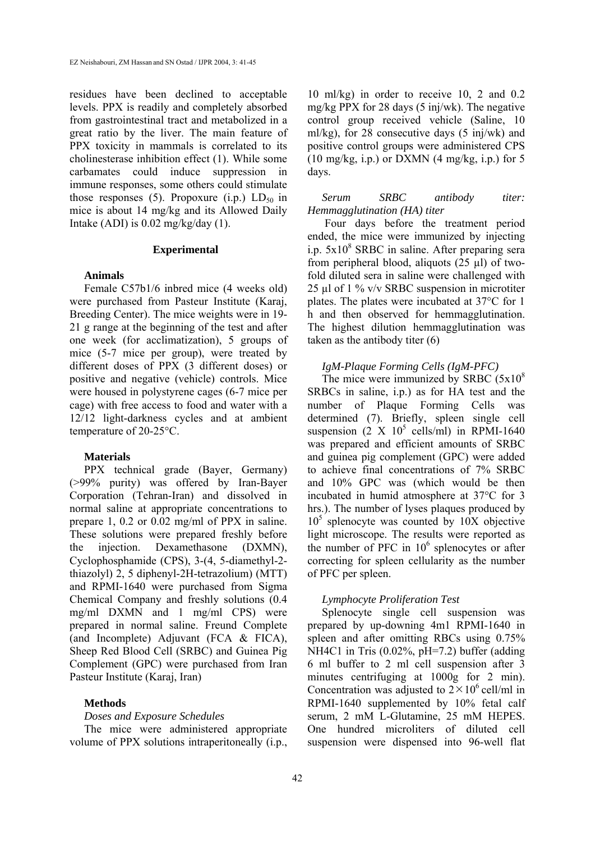residues have been declined to acceptable levels. PPX is readily and completely absorbed from gastrointestinal tract and metabolized in a great ratio by the liver. The main feature of PPX toxicity in mammals is correlated to its cholinesterase inhibition effect (1). While some carbamates could induce suppression in immune responses, some others could stimulate those responses (5). Propoxure (i.p.)  $LD_{50}$  in mice is about 14 mg/kg and its Allowed Daily Intake (ADI) is  $0.02 \text{ mg/kg/day}$  (1).

## **Experimental**

## **Animals**

Female C57b1/6 inbred mice (4 weeks old) were purchased from Pasteur Institute (Karaj, Breeding Center). The mice weights were in 19- 21 g range at the beginning of the test and after one week (for acclimatization), 5 groups of mice (5-7 mice per group), were treated by different doses of PPX (3 different doses) or positive and negative (vehicle) controls. Mice were housed in polystyrene cages (6-7 mice per cage) with free access to food and water with a 12/12 light-darkness cycles and at ambient temperature of 20-25°C.

#### **Materials**

PPX technical grade (Bayer, Germany) (>99% purity) was offered by Iran-Bayer Corporation (Tehran-Iran) and dissolved in normal saline at appropriate concentrations to prepare 1, 0.2 or 0.02 mg/ml of PPX in saline. These solutions were prepared freshly before the injection. Dexamethasone (DXMN), Cyclophosphamide (CPS), 3-(4, 5-diamethyl-2 thiazolyl) 2, 5 diphenyl-2H-tetrazolium) (MTT) and RPMI-1640 were purchased from Sigma Chemical Company and freshly solutions (0.4 mg/ml DXMN and 1 mg/ml CPS) were prepared in normal saline. Freund Complete (and Incomplete) Adjuvant (FCA & FICA), Sheep Red Blood Cell (SRBC) and Guinea Pig Complement (GPC) were purchased from Iran Pasteur Institute (Karaj, Iran)

## **Methods**

#### *Doses and Exposure Schedules*

The mice were administered appropriate volume of PPX solutions intraperitoneally (i.p.,

10 ml/kg) in order to receive 10, 2 and 0.2 mg/kg PPX for 28 days (5 inj/wk). The negative control group received vehicle (Saline, 10 ml/kg), for 28 consecutive days (5 inj/wk) and positive control groups were administered CPS  $(10 \text{ mg/kg}, i.p.)$  or DXMN  $(4 \text{ mg/kg}, i.p.)$  for 5 days.

## *Serum SRBC antibody titer: Hemmagglutination (HA) titer*

Four days before the treatment period ended, the mice were immunized by injecting i.p. 5x10<sup>8</sup> SRBC in saline. After preparing sera from peripheral blood, aliquots (25 µl) of twofold diluted sera in saline were challenged with 25 µl of 1 % v/v SRBC suspension in microtiter plates. The plates were incubated at 37°C for 1 h and then observed for hemmagglutination. The highest dilution hemmagglutination was taken as the antibody titer (6)

## *IgM-Plaque Forming Cells (IgM-PFC)*

The mice were immunized by SRBC  $(5x10<sup>8</sup>)$ SRBCs in saline, i.p.) as for HA test and the number of Plaque Forming Cells was determined (7). Briefly, spleen single cell suspension  $(2 \text{ X } 10^5 \text{ cells/ml})$  in RPMI-1640 was prepared and efficient amounts of SRBC and guinea pig complement (GPC) were added to achieve final concentrations of 7% SRBC and 10% GPC was (which would be then incubated in humid atmosphere at 37°C for 3 hrs.). The number of lyses plaques produced by  $10<sup>5</sup>$  splenocyte was counted by  $10X$  objective light microscope. The results were reported as the number of PFC in  $10^6$  splenocytes or after correcting for spleen cellularity as the number of PFC per spleen.

#### *Lymphocyte Proliferation Test*

Splenocyte single cell suspension was prepared by up-downing 4m1 RPMI-1640 in spleen and after omitting RBCs using 0.75% NH4C1 in Tris (0.02%, pH=7.2) buffer (adding 6 ml buffer to 2 ml cell suspension after 3 minutes centrifuging at  $1000g$  for 2 min). Concentration was adjusted to  $2 \times 10^6$  cell/ml in RPMI-1640 supplemented by 10% fetal calf serum, 2 mM L-Glutamine, 25 mM HEPES. One hundred microliters of diluted cell suspension were dispensed into 96-well flat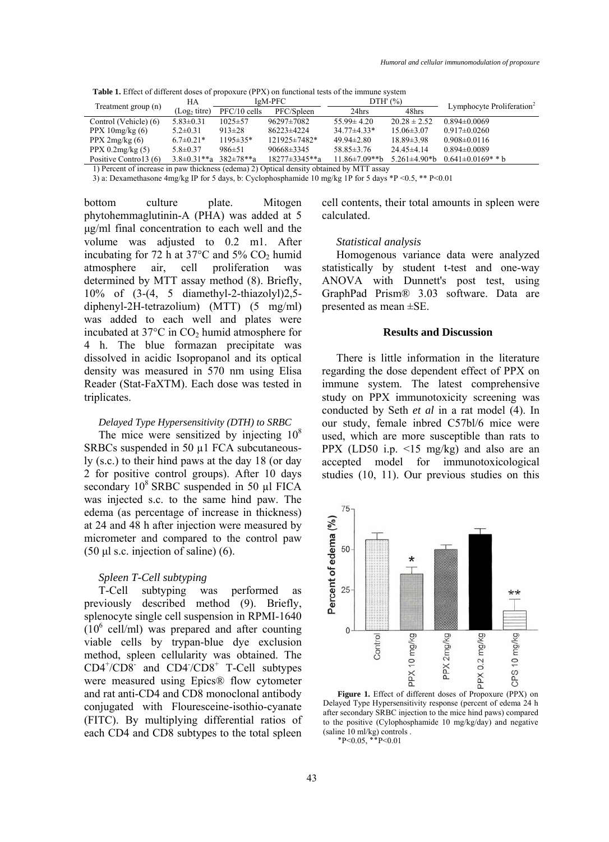**Table 1.** Effect of different doses of propoxure (PPX) on functional tests of the immune system

| Treatment group (n)    | HА                       | IgM-PFC          |                    | $DTH'$ $(\%)$        |                          | Lymphocyte Proliferation <sup>2</sup> |
|------------------------|--------------------------|------------------|--------------------|----------------------|--------------------------|---------------------------------------|
|                        | (Log <sub>2</sub> titre) | $PFC/10$ cells   | PFC/Spleen         | 24hrs                | 48hrs                    |                                       |
| Control (Vehicle) (6)  | $5.83 \pm 0.31$          | $1025 \pm 57$    | 96297±7082         | $55.99 \pm 4.20$     | $20.28 \pm 2.52$         | $0.894\pm0.0069$                      |
| PPX $10mg/kg(6)$       | $5.2 \pm 0.31$           | $913\pm28$       | 86223±4224         | $34.77\pm4.33*$      | $15.06\pm3.07$           | $0.917\pm0.0260$                      |
| PPX $2mg/kg(6)$        | $6.7 \pm 0.21*$          | $1195 \pm 35*$   | $121925 \pm 7482*$ | $49.94 \pm 2.80$     | $18.89 \pm 3.98$         | $0.908 \pm 0.0116$                    |
| PPX $0.2$ mg/kg $(5)$  | $5.8 \pm 0.37$           | 986±51           | $90668 \pm 3345$   | $58.85\pm3.76$       | $24.45\pm4.14$           | $0.894 \pm 0.0089$                    |
| Positive Contro 13 (6) | $3.8\pm0.31**a$          | $382 \pm 78$ **a | 18277±3345**a      | $11.86 \pm 7.09$ **b | $5.261 \pm 4.90 \cdot b$ | $0.641\pm0.0169$ * * b                |
|                        |                          |                  |                    |                      |                          |                                       |

1) Percent of increase in paw thickness (edema) 2) Optical density obtained by MTT assay

3) a: Dexamethasone 4mg/kg IP for 5 days, b: Cyclophosphamide 10 mg/kg 1P for 5 days \*P <0.5, \*\* P<0.01

bottom culture plate. Mitogen phytohemmaglutinin-A (PHA) was added at 5 µg/ml final concentration to each well and the volume was adjusted to 0.2 m1. After incubating for 72 h at  $37^{\circ}$ C and  $5\%$  CO<sub>2</sub> humid atmosphere air, cell proliferation was determined by MTT assay method (8). Briefly, 10% of (3-(4, 5 diamethyl-2-thiazolyl)2,5 diphenyl-2H-tetrazolium) (MTT) (5 mg/ml) was added to each well and plates were incubated at  $37^{\circ}$ C in CO<sub>2</sub> humid atmosphere for 4 h. The blue formazan precipitate was dissolved in acidic Isopropanol and its optical density was measured in 570 nm using Elisa Reader (Stat-FaXTM). Each dose was tested in triplicates.

## *Delayed Type Hypersensitivity (DTH) to SRBC*

The mice were sensitized by injecting  $10^8$ SRBCs suspended in 50 µ1 FCA subcutaneously (s.c.) to their hind paws at the day 18 (or day 2 for positive control groups). After 10 days secondary  $10^8$  SRBC suspended in 50 µl FICA was injected s.c. to the same hind paw. The edema (as percentage of increase in thickness) at 24 and 48 h after injection were measured by micrometer and compared to the control paw (50  $\mu$ l s.c. injection of saline) (6).

## *Spleen T-Cell subtyping*

T-Cell subtyping was performed as previously described method (9). Briefly, splenocyte single cell suspension in RPMI-1640  $(10^6 \text{ cell/ml})$  was prepared and after counting viable cells by trypan-blue dye exclusion method, spleen cellularity was obtained. The  $CD4^{\dagger}/CD8$  and  $CD4^{\dagger}/CD8$ <sup>+</sup> T-Cell subtypes were measured using Epics® flow cytometer and rat anti-CD4 and CD8 monoclonal antibody conjugated with Flouresceine-isothio-cyanate (FITC). By multiplying differential ratios of each CD4 and CD8 subtypes to the total spleen cell contents, their total amounts in spleen were calculated.

## *Statistical analysis*

Homogenous variance data were analyzed statistically by student t-test and one-way ANOVA with Dunnett's post test, using GraphPad Prism® 3.03 software. Data are presented as mean ±SE.

## **Results and Discussion**

There is little information in the literature regarding the dose dependent effect of PPX on immune system. The latest comprehensive study on PPX immunotoxicity screening was conducted by Seth *et al* in a rat model (4). In our study, female inbred C57bl/6 mice were used, which are more susceptible than rats to PPX (LD50 i.p. <15 mg/kg) and also are an accepted model for immunotoxicological studies (10, 11). Our previous studies on this



**Figure 1.** Effect of different doses of Propoxure (PPX) on Delayed Type Hypersensitivity response (percent of edema 24 h after secondary SRBC injection to the mice hind paws) compared to the positive (Cylophosphamide 10 mg/kg/day) and negative (saline 10 ml/kg) controls .

 $P < 0.05$ ,  $P < 0.01$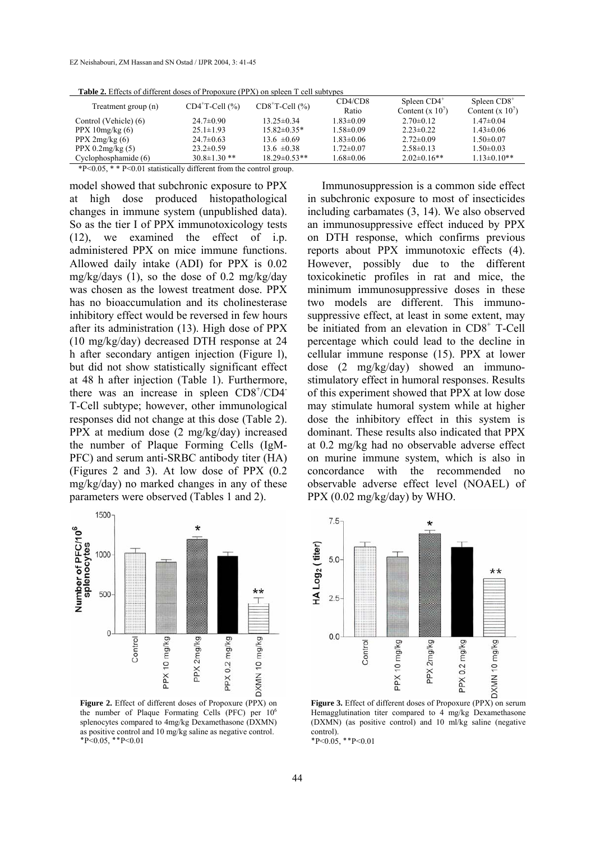| <b>Table 2.</b> Effects of different doses of Fropoxare (FFT) on spicen T cen subtypes |                    |                    |                  |                                    |                                     |  |  |  |  |  |
|----------------------------------------------------------------------------------------|--------------------|--------------------|------------------|------------------------------------|-------------------------------------|--|--|--|--|--|
| Treatment group (n)                                                                    | $CD4+T-Cell (%)$   | $CD8+T-Cell (%)$   | CD4/CD8<br>Ratio | Spleen $CD4^+$<br>Content $(x 10)$ | Spleen $CD8+$<br>Content $(x 10^7)$ |  |  |  |  |  |
| Control (Vehicle) (6)                                                                  | $24.7 \pm 0.90$    | $13.25 \pm 0.34$   | $1.83 \pm 0.09$  | $2.70\pm 0.12$                     | $1.47 \pm 0.04$                     |  |  |  |  |  |
| PPX $10mg/kg(6)$                                                                       | $25.1 \pm 1.93$    | $15.82\pm0.35*$    | $1.58 \pm 0.09$  | $2.23 \pm 0.22$                    | $1.43 \pm 0.06$                     |  |  |  |  |  |
| PPX 2mg/kg (6)                                                                         | $24.7 \pm 0.63$    | $13.6 \pm 0.69$    | $1.83 \pm 0.06$  | $2.72 \pm 0.09$                    | $1.50 \pm 0.07$                     |  |  |  |  |  |
| $PPX$ 0.2mg/kg $(5)$                                                                   | $23.2 \pm 0.59$    | $13.6 \pm 0.38$    | $1.72 \pm 0.07$  | $2.58\pm0.13$                      | $1.50 \pm 0.03$                     |  |  |  |  |  |
| Cyclophosphamide (6)                                                                   | $30.8 \pm 1.30$ ** | $18.29 \pm 0.53**$ | $1.68 \pm 0.06$  | $2.02\pm0.16**$                    | $1.13 \pm 0.10**$                   |  |  |  |  |  |

**Table 2.** Effects of different doses of Propoxure (PPX) on spleen T cell subtypes

\*P<0.05, \* \* P<0.01 statistically different from the control group.

model showed that subchronic exposure to PPX at high dose produced histopathological changes in immune system (unpublished data). So as the tier I of PPX immunotoxicology tests (12), we examined the effect of i.p. administered PPX on mice immune functions. Allowed daily intake (ADI) for PPX is 0.02 mg/kg/days (1), so the dose of 0.2 mg/kg/day was chosen as the lowest treatment dose. PPX has no bioaccumulation and its cholinesterase inhibitory effect would be reversed in few hours after its administration (13). High dose of PPX (10 mg/kg/day) decreased DTH response at 24 h after secondary antigen injection (Figure l), but did not show statistically significant effect at 48 h after injection (Table 1). Furthermore, there was an increase in spleen CD8+/CD4 T-Cell subtype; however, other immunological responses did not change at this dose (Table 2). PPX at medium dose (2 mg/kg/day) increased the number of Plaque Forming Cells (IgM-PFC) and serum anti-SRBC antibody titer (HA) (Figures 2 and 3). At low dose of PPX (0.2 mg/kg/day) no marked changes in any of these parameters were observed (Tables 1 and 2).



**Figure 2.** Effect of different doses of Propoxure (PPX) on the number of Plaque Formating Cells (PFC) per  $10<sup>6</sup>$ splenocytes compared to 4mg/kg Dexamethasone (DXMN) as positive control and 10 mg/kg saline as negative control.  $P < 0.05$ , \*\* P $< 0.01$ 

Immunosuppression is a common side effect in subchronic exposure to most of insecticides including carbamates (3, 14). We also observed an immunosuppressive effect induced by PPX on DTH response, which confirms previous reports about PPX immunotoxic effects (4). However, possibly due to the different toxicokinetic profiles in rat and mice, the minimum immunosuppressive doses in these two models are different. This immunosuppressive effect, at least in some extent, may be initiated from an elevation in CD8<sup>+</sup> T-Cell percentage which could lead to the decline in cellular immune response (15). PPX at lower dose (2 mg/kg/day) showed an immunostimulatory effect in humoral responses. Results of this experiment showed that PPX at low dose may stimulate humoral system while at higher dose the inhibitory effect in this system is dominant. These results also indicated that PPX at 0.2 mg/kg had no observable adverse effect on murine immune system, which is also in concordance with the recommended no observable adverse effect level (NOAEL) of PPX (0.02 mg/kg/day) by WHO.



Hemagglutination titer compared to 4 mg/kg Dexamethasone (DXMN) (as positive control) and 10 ml/kg saline (negative control).

 $P < 0.05$ , \*\* P $< 0.01$